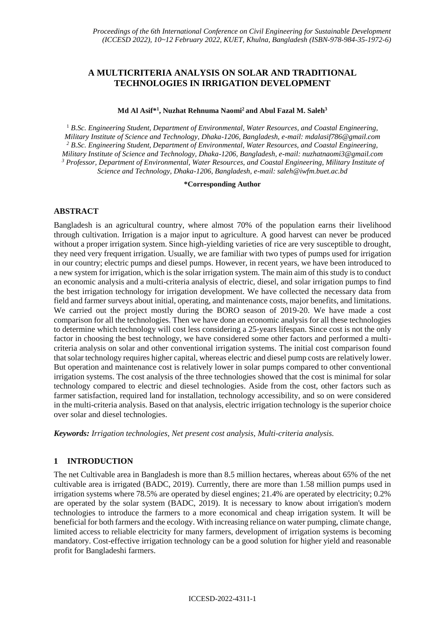# **A MULTICRITERIA ANALYSIS ON SOLAR AND TRADITIONAL TECHNOLOGIES IN IRRIGATION DEVELOPMENT**

#### **Md Al Asif\* 1 , Nuzhat Rehnuma Naomi<sup>2</sup>and Abul Fazal M. Saleh<sup>3</sup>**

<sup>1</sup> *B.Sc. Engineering Student, Department of Environmental, Water Resources, and Coastal Engineering, Military Institute of Science and Technology, Dhaka-1206, Bangladesh, e-mail: mdalasif786@gmail.com <sup>2</sup> B.Sc. Engineering Student, Department of Environmental, Water Resources, and Coastal Engineering, Military Institute of Science and Technology, Dhaka-1206, Bangladesh, e-mail: nuzhatnaomi3@gmail.com <sup>3</sup> Professor, Department of Environmental, Water Resources, and Coastal Engineering, Military Institute of Science and Technology, Dhaka-1206, Bangladesh, e-mail: saleh@iwfm.buet.ac.bd*

### **\*Corresponding Author**

## **ABSTRACT**

Bangladesh is an agricultural country, where almost 70% of the population earns their livelihood through cultivation. Irrigation is a major input to agriculture. A good harvest can never be produced without a proper irrigation system. Since high-yielding varieties of rice are very susceptible to drought, they need very frequent irrigation. Usually, we are familiar with two types of pumps used for irrigation in our country; electric pumps and diesel pumps. However, in recent years, we have been introduced to a new system for irrigation, which is the solar irrigation system. The main aim of this study is to conduct an economic analysis and a multi-criteria analysis of electric, diesel, and solar irrigation pumps to find the best irrigation technology for irrigation development. We have collected the necessary data from field and farmer surveys about initial, operating, and maintenance costs, major benefits, and limitations. We carried out the project mostly during the BORO season of 2019-20. We have made a cost comparison for all the technologies. Then we have done an economic analysis for all these technologies to determine which technology will cost less considering a 25-years lifespan. Since cost is not the only factor in choosing the best technology, we have considered some other factors and performed a multicriteria analysis on solar and other conventional irrigation systems. The initial cost comparison found that solar technology requires higher capital, whereas electric and diesel pump costs are relatively lower. But operation and maintenance cost is relatively lower in solar pumps compared to other conventional irrigation systems. The cost analysis of the three technologies showed that the cost is minimal for solar technology compared to electric and diesel technologies. Aside from the cost, other factors such as farmer satisfaction, required land for installation, technology accessibility, and so on were considered in the multi-criteria analysis. Based on that analysis, electric irrigation technology is the superior choice over solar and diesel technologies.

*Keywords: Irrigation technologies, Net present cost analysis, Multi-criteria analysis.* 

# **1 INTRODUCTION**

The net Cultivable area in Bangladesh is more than 8.5 million hectares, whereas about 65% of the net cultivable area is irrigated (BADC, 2019). Currently, there are more than 1.58 million pumps used in irrigation systems where 78.5% are operated by diesel engines; 21.4% are operated by electricity; 0.2% are operated by the solar system (BADC, 2019). It is necessary to know about irrigation's modern technologies to introduce the farmers to a more economical and cheap irrigation system. It will be beneficial for both farmers and the ecology. With increasing reliance on water pumping, climate change, limited access to reliable electricity for many farmers, development of irrigation systems is becoming mandatory. Cost-effective irrigation technology can be a good solution for higher yield and reasonable profit for Bangladeshi farmers.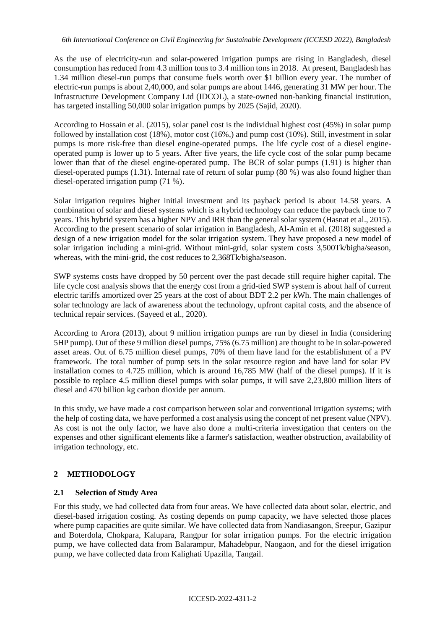As the use of electricity-run and solar-powered irrigation pumps are rising in Bangladesh, diesel consumption has reduced from 4.3 million tons to 3.4 million tons in 2018. At present, Bangladesh has 1.34 million diesel-run pumps that consume fuels worth over \$1 billion every year. The number of electric-run pumps is about 2,40,000, and solar pumps are about 1446, generating 31 MW per hour. The Infrastructure Development Company Ltd (IDCOL), a state-owned non-banking financial institution, has targeted installing 50,000 solar irrigation pumps by 2025 (Sajid, 2020).

According to Hossain et al. (2015), solar panel cost is the individual highest cost (45%) in solar pump followed by installation cost (18%), motor cost (16%,) and pump cost (10%). Still, investment in solar pumps is more risk-free than diesel engine-operated pumps. The life cycle cost of a diesel engineoperated pump is lower up to 5 years. After five years, the life cycle cost of the solar pump became lower than that of the diesel engine-operated pump. The BCR of solar pumps (1.91) is higher than diesel-operated pumps (1.31). Internal rate of return of solar pump (80 %) was also found higher than diesel-operated irrigation pump (71 %).

Solar irrigation requires higher initial investment and its payback period is about 14.58 years. A combination of solar and diesel systems which is a hybrid technology can reduce the payback time to 7 years. This hybrid system has a higher NPV and IRR than the general solar system (Hasnat et al., 2015). According to the present scenario of solar irrigation in Bangladesh, Al-Amin et al. (2018) suggested a design of a new irrigation model for the solar irrigation system. They have proposed a new model of solar irrigation including a mini-grid. Without mini-grid, solar system costs 3,500Tk/bigha/season, whereas, with the mini-grid, the cost reduces to 2,368Tk/bigha/season.

SWP systems costs have dropped by 50 percent over the past decade still require higher capital. The life cycle cost analysis shows that the energy cost from a grid-tied SWP system is about half of current electric tariffs amortized over 25 years at the cost of about BDT 2.2 per kWh. The main challenges of solar technology are lack of awareness about the technology, upfront capital costs, and the absence of technical repair services. (Sayeed et al., 2020).

According to Arora (2013), about 9 million irrigation pumps are run by diesel in India (considering 5HP pump). Out of these 9 million diesel pumps, 75% (6.75 million) are thought to be in solar-powered asset areas. Out of 6.75 million diesel pumps, 70% of them have land for the establishment of a PV framework. The total number of pump sets in the solar resource region and have land for solar PV installation comes to 4.725 million, which is around 16,785 MW (half of the diesel pumps). If it is possible to replace 4.5 million diesel pumps with solar pumps, it will save 2,23,800 million liters of diesel and 470 billion kg carbon dioxide per annum.

In this study, we have made a cost comparison between solar and conventional irrigation systems; with the help of costing data, we have performed a cost analysis using the concept of net present value (NPV). As cost is not the only factor, we have also done a multi-criteria investigation that centers on the expenses and other significant elements like a farmer's satisfaction, weather obstruction, availability of irrigation technology, etc.

# **2 METHODOLOGY**

# **2.1 Selection of Study Area**

For this study, we had collected data from four areas. We have collected data about solar, electric, and diesel-based irrigation costing. As costing depends on pump capacity, we have selected those places where pump capacities are quite similar. We have collected data from Nandiasangon, Sreepur, Gazipur and Boterdola, Chokpara, Kalupara, Rangpur for solar irrigation pumps. For the electric irrigation pump, we have collected data from Balarampur, Mahadebpur, Naogaon, and for the diesel irrigation pump, we have collected data from Kalighati Upazilla, Tangail.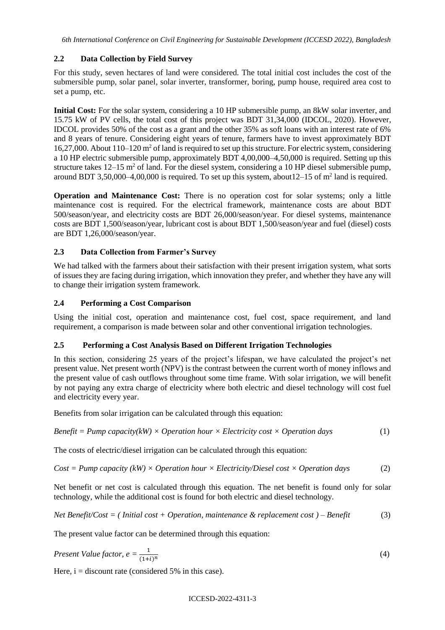*6th International Conference on Civil Engineering for Sustainable Development (ICCESD 2022), Bangladesh*

# **2.2 Data Collection by Field Survey**

For this study, seven hectares of land were considered. The total initial cost includes the cost of the submersible pump, solar panel, solar inverter, transformer, boring, pump house, required area cost to set a pump, etc.

**Initial Cost:** For the solar system, considering a 10 HP submersible pump, an 8kW solar inverter, and 15.75 kW of PV cells, the total cost of this project was BDT 31,34,000 (IDCOL, 2020). However, IDCOL provides 50% of the cost as a grant and the other 35% as soft loans with an interest rate of 6% and 8 years of tenure. Considering eight years of tenure, farmers have to invest approximately BDT 16,27,000. About  $110-120$  m<sup>2</sup> of land is required to set up this structure. For electric system, considering a 10 HP electric submersible pump, approximately BDT 4,00,000–4,50,000 is required. Setting up this structure takes  $12-15$  m<sup>2</sup> of land. For the diesel system, considering a 10 HP diesel submersible pump, around BDT 3,50,000–4,00,000 is required. To set up this system, about  $12-15$  of m<sup>2</sup> land is required.

**Operation and Maintenance Cost:** There is no operation cost for solar systems; only a little maintenance cost is required. For the electrical framework, maintenance costs are about BDT 500/season/year, and electricity costs are BDT 26,000/season/year. For diesel systems, maintenance costs are BDT 1,500/season/year, lubricant cost is about BDT 1,500/season/year and fuel (diesel) costs are BDT 1,26,000/season/year.

# **2.3 Data Collection from Farmer's Survey**

We had talked with the farmers about their satisfaction with their present irrigation system, what sorts of issues they are facing during irrigation, which innovation they prefer, and whether they have any will to change their irrigation system framework.

## **2.4 Performing a Cost Comparison**

Using the initial cost, operation and maintenance cost, fuel cost, space requirement, and land requirement, a comparison is made between solar and other conventional irrigation technologies.

# **2.5 Performing a Cost Analysis Based on Different Irrigation Technologies**

In this section, considering 25 years of the project's lifespan, we have calculated the project's net present value. Net present worth (NPV) is the contrast between the current worth of money inflows and the present value of cash outflows throughout some time frame. With solar irrigation, we will benefit by not paying any extra charge of electricity where both electric and diesel technology will cost fuel and electricity every year.

Benefits from solar irrigation can be calculated through this equation:

*Benefit = Pump capacity(kW) × Operation hour × Electricity cost × Operation days* (1)

The costs of electric/diesel irrigation can be calculated through this equation:

$$
Cost = Pump capacity (kW) \times Operation hour \times Electroity/Desel cost \times Operation days
$$
 (2)

Net benefit or net cost is calculated through this equation. The net benefit is found only for solar technology, while the additional cost is found for both electric and diesel technology.

Net Benefit/Cost = (Initial cost + Operation, maintenance & replacement cost ) - Benefit 
$$
(3)
$$

The present value factor can be determined through this equation:

$$
Present Value factor, e = \frac{1}{(1+i)^n}
$$
\n(4)

Here,  $i =$  discount rate (considered 5% in this case).

#### ICCESD-2022-4311-3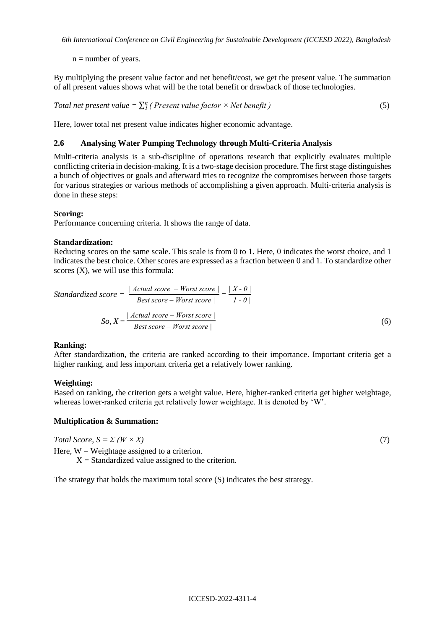$n =$  number of years.

By multiplying the present value factor and net benefit/cost, we get the present value. The summation of all present values shows what will be the total benefit or drawback of those technologies.

Total net present value = 
$$
\sum_{i=1}^{n} (Present value factor \times Net benefit)
$$
 (5)

Here, lower total net present value indicates higher economic advantage.

## **2.6 Analysing Water Pumping Technology through Multi-Criteria Analysis**

Multi-criteria analysis is a sub-discipline of operations research that explicitly evaluates multiple conflicting criteria in decision-making. It is a two-stage decision procedure. The first stage distinguishes a bunch of objectives or goals and afterward tries to recognize the compromises between those targets for various strategies or various methods of accomplishing a given approach. Multi-criteria analysis is done in these steps:

#### **Scoring:**

Performance concerning criteria. It shows the range of data.

## **Standardization:**

Reducing scores on the same scale. This scale is from 0 to 1. Here, 0 indicates the worst choice, and 1 indicates the best choice. Other scores are expressed as a fraction between 0 and 1. To standardize other scores (X), we will use this formula:

Standardized score = 
$$
\frac{|Actual \, score - Worst \, score|}{|Best \, score - Worst \, score|} = \frac{|X - 0|}{|I - 0|}
$$
  
So, 
$$
X = \frac{|Actual \, score - Worst \, score|}{|Best \, score - Worst \, score|}
$$
 (6)

#### **Ranking:**

After standardization, the criteria are ranked according to their importance. Important criteria get a higher ranking, and less important criteria get a relatively lower ranking.

#### **Weighting:**

Based on ranking, the criterion gets a weight value. Here, higher-ranked criteria get higher weightage, whereas lower-ranked criteria get relatively lower weightage. It is denoted by 'W'.

## **Multiplication & Summation:**

 $Total Score, S = \sum (W \times X)$  (7)

Here,  $W = Weightage$  assigned to a criterion.

 $X =$  Standardized value assigned to the criterion.

The strategy that holds the maximum total score (S) indicates the best strategy.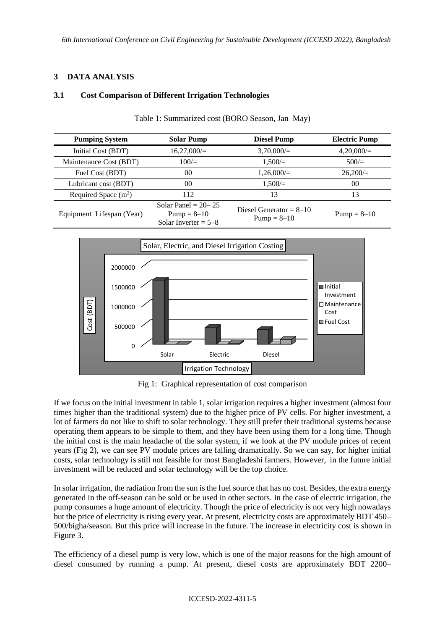## **3 DATA ANALYSIS**

## **3.1 Cost Comparison of Different Irrigation Technologies**

| <b>Pumping System</b>     | <b>Solar Pump</b>                                                  | <b>Diesel Pump</b>                           | <b>Electric Pump</b> |
|---------------------------|--------------------------------------------------------------------|----------------------------------------------|----------------------|
| Initial Cost (BDT)        | $16,27,000/=$                                                      | $3,70,000/=$                                 | $4,20,000/=$         |
| Maintenance Cost (BDT)    | 100/                                                               | $1.500 =$                                    | 500/                 |
| Fuel Cost (BDT)           | 00 <sup>0</sup>                                                    | $1,26,000/=$                                 | $26.200 =$           |
| Lubricant cost (BDT)      | 00                                                                 | $1.500 =$                                    | 0 <sup>0</sup>       |
| Required Space $(m^2)$    | 112                                                                | 13                                           | 13                   |
| Equipment Lifespan (Year) | Solar Panel = $20-25$<br>$Pump = 8 - 10$<br>Solar Inverter = $5-8$ | Diesel Generator = $8-10$<br>$Pump = 8 - 10$ | $Pump = 8 - 10$      |

Table 1: Summarized cost (BORO Season, Jan–May)



Fig 1: Graphical representation of cost comparison

If we focus on the initial investment in table 1, solar irrigation requires a higher investment (almost four times higher than the traditional system) due to the higher price of PV cells. For higher investment, a lot of farmers do not like to shift to solar technology. They still prefer their traditional systems because operating them appears to be simple to them, and they have been using them for a long time. Though the initial cost is the main headache of the solar system, if we look at the PV module prices of recent years (Fig 2), we can see PV module prices are falling dramatically. So we can say, for higher initial costs, solar technology is still not feasible for most Bangladeshi farmers. However, in the future initial investment will be reduced and solar technology will be the top choice.

In solar irrigation, the radiation from the sun is the fuel source that has no cost. Besides, the extra energy generated in the off-season can be sold or be used in other sectors. In the case of electric irrigation, the pump consumes a huge amount of electricity. Though the price of electricity is not very high nowadays but the price of electricity is rising every year. At present, electricity costs are approximately BDT 450– 500/bigha/season. But this price will increase in the future. The increase in electricity cost is shown in Figure 3.

The efficiency of a diesel pump is very low, which is one of the major reasons for the high amount of diesel consumed by running a pump. At present, diesel costs are approximately BDT 2200–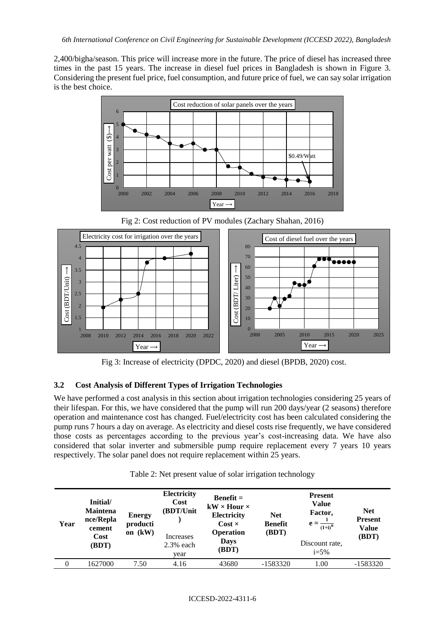2,400/bigha/season. This price will increase more in the future. The price of diesel has increased three times in the past 15 years. The increase in diesel fuel prices in Bangladesh is shown in Figure 3. Considering the present fuel price, fuel consumption, and future price of fuel, we can say solar irrigation is the best choice.



Fig 2: Cost reduction of PV modules (Zachary Shahan, 2016)



Fig 3: Increase of electricity (DPDC, 2020) and diesel (BPDB, 2020) cost.

## **3.2 Cost Analysis of Different Types of Irrigation Technologies**

We have performed a cost analysis in this section about irrigation technologies considering 25 years of their lifespan. For this, we have considered that the pump will run 200 days/year (2 seasons) therefore operation and maintenance cost has changed. Fuel/electricity cost has been calculated considering the pump runs 7 hours a day on average. As electricity and diesel costs rise frequently, we have considered those costs as percentages according to the previous year's cost-increasing data. We have also considered that solar inverter and submersible pump require replacement every 7 years 10 years respectively. The solar panel does not require replacement within 25 years.

| Table 2: Net present value of solar irrigation technology |  |  |  |
|-----------------------------------------------------------|--|--|--|
|-----------------------------------------------------------|--|--|--|

| Year | Initial/<br><b>Maintena</b><br>nce/Repla<br>cement<br>Cost<br>(BDT) | <b>Energy</b><br>producti<br>on (kW) | Electricity<br>Cost<br>(BDT/Unit<br>Increases<br>$2.3%$ each<br>year | $Benefit =$<br>$kW \times$ Hour $\times$<br>Electricity<br>$Cost \times$<br><b>Operation</b><br>Days<br>(BDT) | <b>Net</b><br><b>Benefit</b><br>(BDT) | <b>Present</b><br><b>Value</b><br>Factor,<br>$e = \frac{1}{(1+i)^n}$<br>Discount rate.<br>$i = 5\%$ | <b>Net</b><br><b>Present</b><br><b>Value</b><br>(BDT) |
|------|---------------------------------------------------------------------|--------------------------------------|----------------------------------------------------------------------|---------------------------------------------------------------------------------------------------------------|---------------------------------------|-----------------------------------------------------------------------------------------------------|-------------------------------------------------------|
| 0    | 1627000                                                             | 7.50                                 | 4.16                                                                 | 43680                                                                                                         | $-1583320$                            | 1.00                                                                                                | $-1583320$                                            |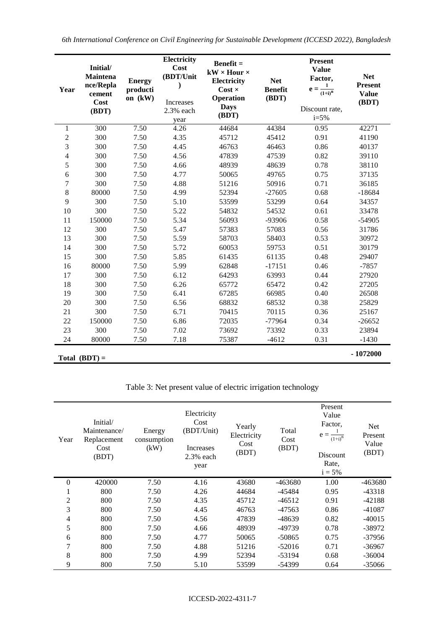*6th International Conference on Civil Engineering for Sustainable Development (ICCESD 2022), Bangladesh*

| Year           | Initial/<br>Maintena<br>nce/Repla<br>cement<br>Cost<br>(BDT) | <b>Energy</b><br>producti<br>on (kW) | Electricity<br>Cost<br>(BDT/Unit<br>$\mathbf{I}$<br>Increases<br>2.3% each<br>year | $Benefit =$<br>$kW \times$ Hour $\times$<br>Electricity<br>$Cost \times$<br><b>Operation</b><br><b>Days</b><br>(BDT) | <b>Net</b><br><b>Benefit</b><br>(BDT) | <b>Present</b><br><b>Value</b><br>Factor,<br>$\mathbf{1}$<br>$\mathbf{e} =$<br>$\overline{(1+i)}^n$<br>Discount rate,<br>$i = 5%$ | <b>Net</b><br>Present<br><b>Value</b><br>(BDT) |
|----------------|--------------------------------------------------------------|--------------------------------------|------------------------------------------------------------------------------------|----------------------------------------------------------------------------------------------------------------------|---------------------------------------|-----------------------------------------------------------------------------------------------------------------------------------|------------------------------------------------|
| 1              | 300                                                          | 7.50                                 | 4.26                                                                               | 44684                                                                                                                | 44384                                 | 0.95                                                                                                                              | 42271                                          |
| $\sqrt{2}$     | 300                                                          | 7.50                                 | 4.35                                                                               | 45712                                                                                                                | 45412                                 | 0.91                                                                                                                              | 41190                                          |
| 3              | 300                                                          | 7.50                                 | 4.45                                                                               | 46763                                                                                                                | 46463                                 | 0.86                                                                                                                              | 40137                                          |
| $\overline{4}$ | 300                                                          | 7.50                                 | 4.56                                                                               | 47839                                                                                                                | 47539                                 | 0.82                                                                                                                              | 39110                                          |
| 5              | 300                                                          | 7.50                                 | 4.66                                                                               | 48939                                                                                                                | 48639                                 | 0.78                                                                                                                              | 38110                                          |
| 6              | 300                                                          | 7.50                                 | 4.77                                                                               | 50065                                                                                                                | 49765                                 | 0.75                                                                                                                              | 37135                                          |
| 7              | 300                                                          | 7.50                                 | 4.88                                                                               | 51216                                                                                                                | 50916                                 | 0.71                                                                                                                              | 36185                                          |
| 8              | 80000                                                        | 7.50                                 | 4.99                                                                               | 52394                                                                                                                | $-27605$                              | 0.68                                                                                                                              | $-18684$                                       |
| 9              | 300                                                          | 7.50                                 | 5.10                                                                               | 53599                                                                                                                | 53299                                 | 0.64                                                                                                                              | 34357                                          |
| 10             | 300                                                          | 7.50                                 | 5.22                                                                               | 54832                                                                                                                | 54532                                 | 0.61                                                                                                                              | 33478                                          |
| 11             | 150000                                                       | 7.50                                 | 5.34                                                                               | 56093                                                                                                                | -93906                                | 0.58                                                                                                                              | $-54905$                                       |
| 12             | 300                                                          | 7.50                                 | 5.47                                                                               | 57383                                                                                                                | 57083                                 | 0.56                                                                                                                              | 31786                                          |
| 13             | 300                                                          | 7.50                                 | 5.59                                                                               | 58703                                                                                                                | 58403                                 | 0.53                                                                                                                              | 30972                                          |
| 14             | 300                                                          | 7.50                                 | 5.72                                                                               | 60053                                                                                                                | 59753                                 | 0.51                                                                                                                              | 30179                                          |
| 15             | 300                                                          | 7.50                                 | 5.85                                                                               | 61435                                                                                                                | 61135                                 | 0.48                                                                                                                              | 29407                                          |
| 16             | 80000                                                        | 7.50                                 | 5.99                                                                               | 62848                                                                                                                | $-17151$                              | 0.46                                                                                                                              | $-7857$                                        |
| 17             | 300                                                          | 7.50                                 | 6.12                                                                               | 64293                                                                                                                | 63993                                 | 0.44                                                                                                                              | 27920                                          |
| 18             | 300                                                          | 7.50                                 | 6.26                                                                               | 65772                                                                                                                | 65472                                 | 0.42                                                                                                                              | 27205                                          |
| 19             | 300                                                          | 7.50                                 | 6.41                                                                               | 67285                                                                                                                | 66985                                 | 0.40                                                                                                                              | 26508                                          |
| 20             | 300                                                          | 7.50                                 | 6.56                                                                               | 68832                                                                                                                | 68532                                 | 0.38                                                                                                                              | 25829                                          |
| 21             | 300                                                          | 7.50                                 | 6.71                                                                               | 70415                                                                                                                | 70115                                 | 0.36                                                                                                                              | 25167                                          |
| 22             | 150000                                                       | 7.50                                 | 6.86                                                                               | 72035                                                                                                                | $-77964$                              | 0.34                                                                                                                              | $-26652$                                       |
| 23             | 300                                                          | 7.50                                 | 7.02                                                                               | 73692                                                                                                                | 73392                                 | 0.33                                                                                                                              | 23894                                          |
| 24             | 80000                                                        | 7.50                                 | 7.18                                                                               | 75387                                                                                                                | $-4612$                               | 0.31                                                                                                                              | $-1430$                                        |
|                | Total $(BDT) =$                                              |                                      |                                                                                    |                                                                                                                      |                                       |                                                                                                                                   | $-1072000$                                     |

Table 3: Net present value of electric irrigation technology

| Year           | Initial/<br>Maintenance/<br>Replacement<br>Cost<br>(BDT) | Energy<br>consumption<br>(kW) | Electricity<br>Cost<br>(BDT/Unit)<br>Increases<br>$2.3%$ each<br>year | Yearly<br>Electricity<br>Cost<br>(BDT) | Total<br>Cost<br>(BDT) | Present<br>Value<br>Factor.<br>$e =$<br>$(1+i)^n$<br><b>Discount</b><br>Rate,<br>$i = 5\%$ | Net<br>Present<br>Value<br>(BDT) |
|----------------|----------------------------------------------------------|-------------------------------|-----------------------------------------------------------------------|----------------------------------------|------------------------|--------------------------------------------------------------------------------------------|----------------------------------|
| 0              | 420000                                                   | 7.50                          | 4.16                                                                  | 43680                                  | $-463680$              | 1.00                                                                                       | $-463680$                        |
| 1              | 800                                                      | 7.50                          | 4.26                                                                  | 44684                                  | -45484                 | 0.95                                                                                       | -43318                           |
| $\overline{2}$ | 800                                                      | 7.50                          | 4.35                                                                  | 45712                                  | $-46512$               | 0.91                                                                                       | $-42188$                         |
| 3              | 800                                                      | 7.50                          | 4.45                                                                  | 46763                                  | -47563                 | 0.86                                                                                       | $-41087$                         |
| 4              | 800                                                      | 7.50                          | 4.56                                                                  | 47839                                  | $-48639$               | 0.82                                                                                       | $-40015$                         |
| 5              | 800                                                      | 7.50                          | 4.66                                                                  | 48939                                  | -49739                 | 0.78                                                                                       | -38972                           |
| 6              | 800                                                      | 7.50                          | 4.77                                                                  | 50065                                  | $-50865$               | 0.75                                                                                       | -37956                           |
| 7              | 800                                                      | 7.50                          | 4.88                                                                  | 51216                                  | $-52016$               | 0.71                                                                                       | $-36967$                         |
| 8              | 800                                                      | 7.50                          | 4.99                                                                  | 52394                                  | $-53194$               | 0.68                                                                                       | $-36004$                         |
| 9              | 800                                                      | 7.50                          | 5.10                                                                  | 53599                                  | $-54399$               | 0.64                                                                                       | $-35066$                         |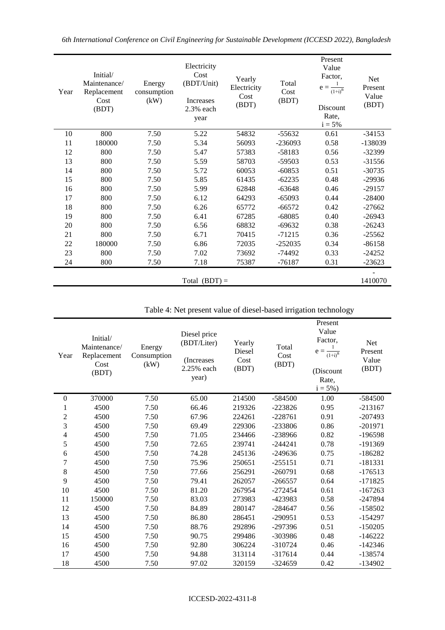|  | 6th International Conference on Civil Engineering for Sustainable Development (ICCESD 2022), Bangladesh |  |  |  |  |
|--|---------------------------------------------------------------------------------------------------------|--|--|--|--|
|  |                                                                                                         |  |  |  |  |

| Year | Initial/<br>Maintenance/<br>Replacement<br>Cost<br>(BDT) | Energy<br>consumption<br>(kW) | Electricity<br>Cost<br>(BDT/Unit)<br>Increases<br>2.3% each<br>year | Yearly<br>Electricity<br>Cost<br>(BDT) | Total<br>Cost<br>(BDT) | Present<br>Value<br>Factor,<br>$e =$<br>$\overline{(1+i)}^n$<br>Discount<br>Rate,<br>$i = 5\%$ | Net<br>Present<br>Value<br>(BDT) |
|------|----------------------------------------------------------|-------------------------------|---------------------------------------------------------------------|----------------------------------------|------------------------|------------------------------------------------------------------------------------------------|----------------------------------|
| 10   | 800                                                      | 7.50                          | 5.22                                                                | 54832                                  | $-55632$               | 0.61                                                                                           | $-34153$                         |
| 11   | 180000                                                   | 7.50                          | 5.34                                                                | 56093                                  | $-236093$              | 0.58                                                                                           | -138039                          |
| 12   | 800                                                      | 7.50                          | 5.47                                                                | 57383                                  | $-58183$               | 0.56                                                                                           | $-32399$                         |
| 13   | 800                                                      | 7.50                          | 5.59                                                                | 58703                                  | -59503                 | 0.53                                                                                           | $-31556$                         |
| 14   | 800                                                      | 7.50                          | 5.72                                                                | 60053                                  | $-60853$               | 0.51                                                                                           | $-30735$                         |
| 15   | 800                                                      | 7.50                          | 5.85                                                                | 61435                                  | $-62235$               | 0.48                                                                                           | $-29936$                         |
| 16   | 800                                                      | 7.50                          | 5.99                                                                | 62848                                  | $-63648$               | 0.46                                                                                           | $-29157$                         |
| 17   | 800                                                      | 7.50                          | 6.12                                                                | 64293                                  | $-65093$               | 0.44                                                                                           | $-28400$                         |
| 18   | 800                                                      | 7.50                          | 6.26                                                                | 65772                                  | $-66572$               | 0.42                                                                                           | $-27662$                         |
| 19   | 800                                                      | 7.50                          | 6.41                                                                | 67285                                  | $-68085$               | 0.40                                                                                           | $-26943$                         |
| 20   | 800                                                      | 7.50                          | 6.56                                                                | 68832                                  | $-69632$               | 0.38                                                                                           | $-26243$                         |
| 21   | 800                                                      | 7.50                          | 6.71                                                                | 70415                                  | $-71215$               | 0.36                                                                                           | $-25562$                         |
| 22   | 180000                                                   | 7.50                          | 6.86                                                                | 72035                                  | $-252035$              | 0.34                                                                                           | $-86158$                         |
| 23   | 800                                                      | 7.50                          | 7.02                                                                | 73692                                  | -74492                 | 0.33                                                                                           | $-24252$                         |
| 24   | 800                                                      | 7.50                          | 7.18                                                                | 75387                                  | $-76187$               | 0.31                                                                                           | $-23623$                         |
|      |                                                          |                               | Total $(BDT) =$                                                     |                                        |                        |                                                                                                | 1410070                          |

Table 4: Net present value of diesel-based irrigation technology

| Year             | Initial/<br>Maintenance/<br>Replacement<br>Cost<br>(BDT) | Energy<br>Consumption<br>(kW) | Diesel price<br>(BDT/Liter)<br>(Increases)<br>2.25% each<br>year) | Yearly<br>Diesel<br>Cost<br>(BDT) | Total<br>Cost<br>(BDT) | Present<br>Value<br>Factor,<br>$e =$<br>$(1+i)^n$<br>(Discount<br>Rate,<br>$i = 5\%)$ | Net<br>Present<br>Value<br>(BDT) |
|------------------|----------------------------------------------------------|-------------------------------|-------------------------------------------------------------------|-----------------------------------|------------------------|---------------------------------------------------------------------------------------|----------------------------------|
| $\boldsymbol{0}$ | 370000                                                   | 7.50                          | 65.00                                                             | 214500                            | $-584500$              | 1.00                                                                                  | $-584500$                        |
| 1                | 4500                                                     | 7.50                          | 66.46                                                             | 219326                            | $-223826$              | 0.95                                                                                  | $-213167$                        |
| $\overline{c}$   | 4500                                                     | 7.50                          | 67.96                                                             | 224261                            | $-228761$              | 0.91                                                                                  | $-207493$                        |
| 3                | 4500                                                     | 7.50                          | 69.49                                                             | 229306                            | $-233806$              | 0.86                                                                                  | $-201971$                        |
| 4                | 4500                                                     | 7.50                          | 71.05                                                             | 234466                            | $-238966$              | 0.82                                                                                  | -196598                          |
| 5                | 4500                                                     | 7.50                          | 72.65                                                             | 239741                            | $-244241$              | 0.78                                                                                  | -191369                          |
| 6                | 4500                                                     | 7.50                          | 74.28                                                             | 245136                            | $-249636$              | 0.75                                                                                  | $-186282$                        |
| 7                | 4500                                                     | 7.50                          | 75.96                                                             | 250651                            | $-255151$              | 0.71                                                                                  | $-181331$                        |
| $8\,$            | 4500                                                     | 7.50                          | 77.66                                                             | 256291                            | $-260791$              | 0.68                                                                                  | $-176513$                        |
| 9                | 4500                                                     | 7.50                          | 79.41                                                             | 262057                            | $-266557$              | 0.64                                                                                  | $-171825$                        |
| 10               | 4500                                                     | 7.50                          | 81.20                                                             | 267954                            | $-272454$              | 0.61                                                                                  | $-167263$                        |
| 11               | 150000                                                   | 7.50                          | 83.03                                                             | 273983                            | -423983                | 0.58                                                                                  | -247894                          |
| 12               | 4500                                                     | 7.50                          | 84.89                                                             | 280147                            | $-284647$              | 0.56                                                                                  | $-158502$                        |
| 13               | 4500                                                     | 7.50                          | 86.80                                                             | 286451                            | $-290951$              | 0.53                                                                                  | $-154297$                        |
| 14               | 4500                                                     | 7.50                          | 88.76                                                             | 292896                            | $-297396$              | 0.51                                                                                  | $-150205$                        |
| 15               | 4500                                                     | 7.50                          | 90.75                                                             | 299486                            | $-303986$              | 0.48                                                                                  | $-146222$                        |
| 16               | 4500                                                     | 7.50                          | 92.80                                                             | 306224                            | $-310724$              | 0.46                                                                                  | $-142346$                        |
| 17               | 4500                                                     | 7.50                          | 94.88                                                             | 313114                            | $-317614$              | 0.44                                                                                  | -138574                          |
| 18               | 4500                                                     | 7.50                          | 97.02                                                             | 320159                            | $-324659$              | 0.42                                                                                  | -134902                          |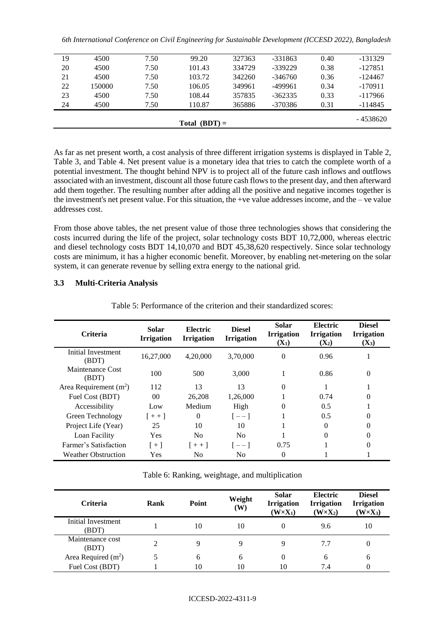| Total $(BDT) =$ |        |      |        |        |           |      | - 4538620 |
|-----------------|--------|------|--------|--------|-----------|------|-----------|
| 24              | 4500   | 7.50 | 110.87 | 365886 | -370386   | 0.31 | $-114845$ |
| 23              | 4500   | 7.50 | 108.44 | 357835 | $-362335$ | 0.33 | $-117966$ |
| 22              | 150000 | 7.50 | 106.05 | 349961 | $-499961$ | 0.34 | $-170911$ |
| 21              | 4500   | 7.50 | 103.72 | 342260 | $-346760$ | 0.36 | $-124467$ |
| 20              | 4500   | 7.50 | 101.43 | 334729 | $-339229$ | 0.38 | $-127851$ |
| 19              | 4500   | 7.50 | 99.20  | 327363 | $-331863$ | 0.40 | $-131329$ |
|                 |        |      |        |        |           |      |           |

As far as net present worth, a cost analysis of three different irrigation systems is displayed in Table 2, Table 3, and Table 4. Net present value is a monetary idea that tries to catch the complete worth of a potential investment. The thought behind NPV is to project all of the future cash inflows and outflows associated with an investment, discount all those future cash flows to the present day, and then afterward add them together. The resulting number after adding all the positive and negative incomes together is the investment's net present value. For this situation, the +ve value addresses income, and the – ve value addresses cost.

From those above tables, the net present value of those three technologies shows that considering the costs incurred during the life of the project, solar technology costs BDT 10,72,000, whereas electric and diesel technology costs BDT 14,10,070 and BDT 45,38,620 respectively. Since solar technology costs are minimum, it has a higher economic benefit. Moreover, by enabling net-metering on the solar system, it can generate revenue by selling extra energy to the national grid.

## **3.3 Multi-Criteria Analysis**

| <b>Criteria</b>                    | Solar<br><b>Irrigation</b> | Electric<br><b>Irrigation</b> | <b>Diesel</b><br><b>Irrigation</b> | Solar<br><b>Irrigation</b><br>$(X_1)$ | Electric<br><b>Irrigation</b><br>$(X_2)$ | <b>Diesel</b><br><b>Irrigation</b><br>$(X_3)$ |
|------------------------------------|----------------------------|-------------------------------|------------------------------------|---------------------------------------|------------------------------------------|-----------------------------------------------|
| <b>Initial Investment</b><br>(BDT) | 16,27,000                  | 4,20,000                      | 3,70,000                           | $\Omega$                              | 0.96                                     |                                               |
| Maintenance Cost<br>(BDT)          | 100                        | 500                           | 3,000                              |                                       | 0.86                                     | $\theta$                                      |
| Area Requirement $(m2)$            | 112                        | 13                            | 13                                 | $\Omega$                              |                                          |                                               |
| Fuel Cost (BDT)                    | 0 <sup>0</sup>             | 26,208                        | 1,26,000                           |                                       | 0.74                                     | 0                                             |
| Accessibility                      | Low                        | Medium                        | High                               | 0                                     | 0.5                                      |                                               |
| Green Technology                   | $[ + + ]$                  | $\Omega$                      | $[--]$                             |                                       | 0.5                                      | 0                                             |
| Project Life (Year)                | 25                         | 10                            | 10                                 |                                       | $\Omega$                                 | 0                                             |
| Loan Facility                      | Yes                        | N <sub>0</sub>                | N <sub>0</sub>                     |                                       | 0                                        | 0                                             |
| Farmer's Satisfaction              | $+1$                       | $1 + + 1$                     | $ -- $                             | 0.75                                  |                                          | 0                                             |
| <b>Weather Obstruction</b>         | Yes                        | N <sub>0</sub>                | N <sub>0</sub>                     | 0                                     |                                          |                                               |

Table 5: Performance of the criterion and their standardized scores:

Table 6: Ranking, weightage, and multiplication

| <b>Criteria</b>             | Rank | Point | Weight<br>(W) | <b>Solar</b><br><b>Irrigation</b><br>$(W \times X_1)$ | <b>Electric</b><br><b>Irrigation</b><br>$(W \times X_2)$ | <b>Diesel</b><br><b>Irrigation</b><br>$(W \times X_3)$ |
|-----------------------------|------|-------|---------------|-------------------------------------------------------|----------------------------------------------------------|--------------------------------------------------------|
| Initial Investment<br>(BDT) |      | 10    | 10            |                                                       | 9.6                                                      | 10                                                     |
| Maintenance cost<br>(BDT)   |      | 9     | 9             | Q                                                     | 7.7                                                      | 0                                                      |
| Area Required $(m^2)$       |      | 6     | 6             | $\theta$                                              | 6                                                        | 6                                                      |
| Fuel Cost (BDT)             |      | 10    | 10            |                                                       | 7.4                                                      | 0                                                      |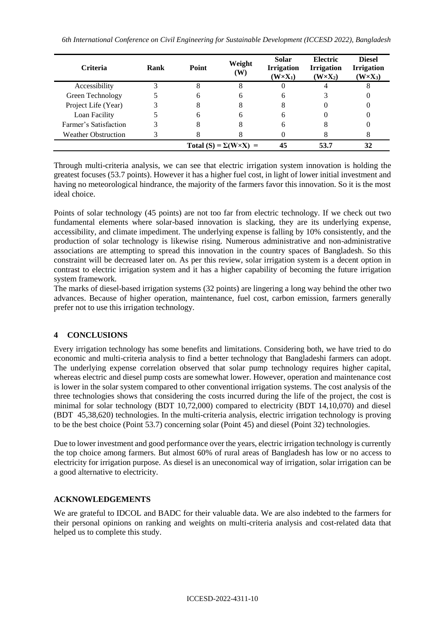| <b>Criteria</b>            | Rank | Point                              | Weight<br>(W) | <b>Solar</b><br><b>Irrigation</b><br>$(W \times X_1)$ | Electric<br><b>Irrigation</b><br>$(W \times X_2)$ | <b>Diesel</b><br><b>Irrigation</b><br>$(W \times X_3)$ |
|----------------------------|------|------------------------------------|---------------|-------------------------------------------------------|---------------------------------------------------|--------------------------------------------------------|
| Accessibility              |      |                                    |               |                                                       |                                                   |                                                        |
| Green Technology           |      | h                                  |               | h                                                     |                                                   |                                                        |
| Project Life (Year)        |      |                                    |               |                                                       |                                                   |                                                        |
| Loan Facility              |      | h                                  | h             |                                                       |                                                   |                                                        |
| Farmer's Satisfaction      |      |                                    |               | h                                                     |                                                   |                                                        |
| <b>Weather Obstruction</b> |      |                                    |               |                                                       |                                                   |                                                        |
|                            |      | Total (S) = $\Sigma(W \times X)$ = |               | 45                                                    | 53.7                                              | 32                                                     |

Through multi-criteria analysis, we can see that electric irrigation system innovation is holding the greatest focuses (53.7 points). However it has a higher fuel cost, in light of lower initial investment and having no meteorological hindrance, the majority of the farmers favor this innovation. So it is the most ideal choice.

Points of solar technology (45 points) are not too far from electric technology. If we check out two fundamental elements where solar-based innovation is slacking, they are its underlying expense, accessibility, and climate impediment. The underlying expense is falling by 10% consistently, and the production of solar technology is likewise rising. Numerous administrative and non-administrative associations are attempting to spread this innovation in the country spaces of Bangladesh. So this constraint will be decreased later on. As per this review, solar irrigation system is a decent option in contrast to electric irrigation system and it has a higher capability of becoming the future irrigation system framework.

The marks of diesel-based irrigation systems (32 points) are lingering a long way behind the other two advances. Because of higher operation, maintenance, fuel cost, carbon emission, farmers generally prefer not to use this irrigation technology.

# **4 CONCLUSIONS**

Every irrigation technology has some benefits and limitations. Considering both, we have tried to do economic and multi-criteria analysis to find a better technology that Bangladeshi farmers can adopt. The underlying expense correlation observed that solar pump technology requires higher capital, whereas electric and diesel pump costs are somewhat lower. However, operation and maintenance cost is lower in the solar system compared to other conventional irrigation systems. The cost analysis of the three technologies shows that considering the costs incurred during the life of the project, the cost is minimal for solar technology (BDT 10,72,000) compared to electricity (BDT 14,10,070) and diesel (BDT 45,38,620) technologies. In the multi-criteria analysis, electric irrigation technology is proving to be the best choice (Point 53.7) concerning solar (Point 45) and diesel (Point 32) technologies.

Due to lower investment and good performance over the years, electric irrigation technology is currently the top choice among farmers. But almost 60% of rural areas of Bangladesh has low or no access to electricity for irrigation purpose. As diesel is an uneconomical way of irrigation, solar irrigation can be a good alternative to electricity.

# **ACKNOWLEDGEMENTS**

We are grateful to IDCOL and BADC for their valuable data. We are also indebted to the farmers for their personal opinions on ranking and weights on multi-criteria analysis and cost-related data that helped us to complete this study.